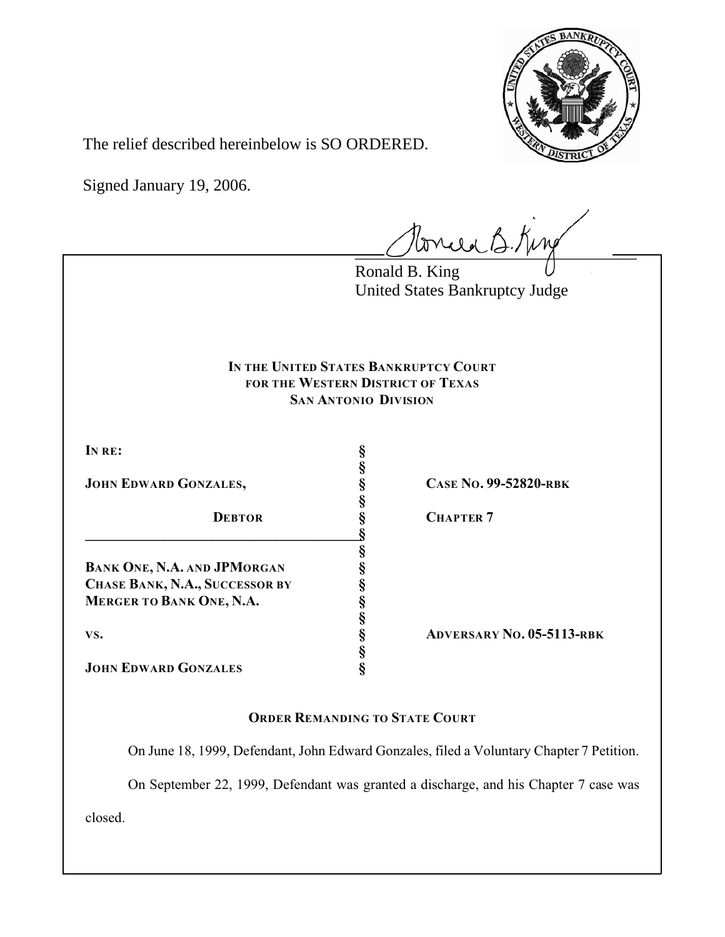

The relief described hereinbelow is SO ORDERED.

Signed January 19, 2006.

tonie B. King

Ronald B. King United States Bankruptcy Judge

# **IN THE UNITED STATES BANKRUPTCY COURT FOR THE WESTERN DISTRICT OF TEXAS SAN ANTONIO DIVISION**

**§**

**§**

**§**

**§**

**§**

**IN RE: §**

**JOHN EDWARD GONZALES, § CASE NO. 99-52820-RBK**

**\_\_\_\_\_\_\_\_\_\_\_\_\_\_\_\_\_\_\_\_\_\_\_\_\_\_\_\_\_\_\_\_\_\_\_\_\_\_\_§**

**BANK ONE, N.A. AND JPMORGAN § CHASE BANK, N.A., SUCCESSOR BY § MERGER TO BANK ONE, N.A. §**

**JOHN EDWARD GONZALES §**

**DEBTOR § CHAPTER 7**

**VS. § ADVERSARY NO. 05-5113-RBK**

# **ORDER REMANDING TO STATE COURT**

On June 18, 1999, Defendant, John Edward Gonzales, filed a Voluntary Chapter 7 Petition.

On September 22, 1999, Defendant was granted a discharge, and his Chapter 7 case was

closed.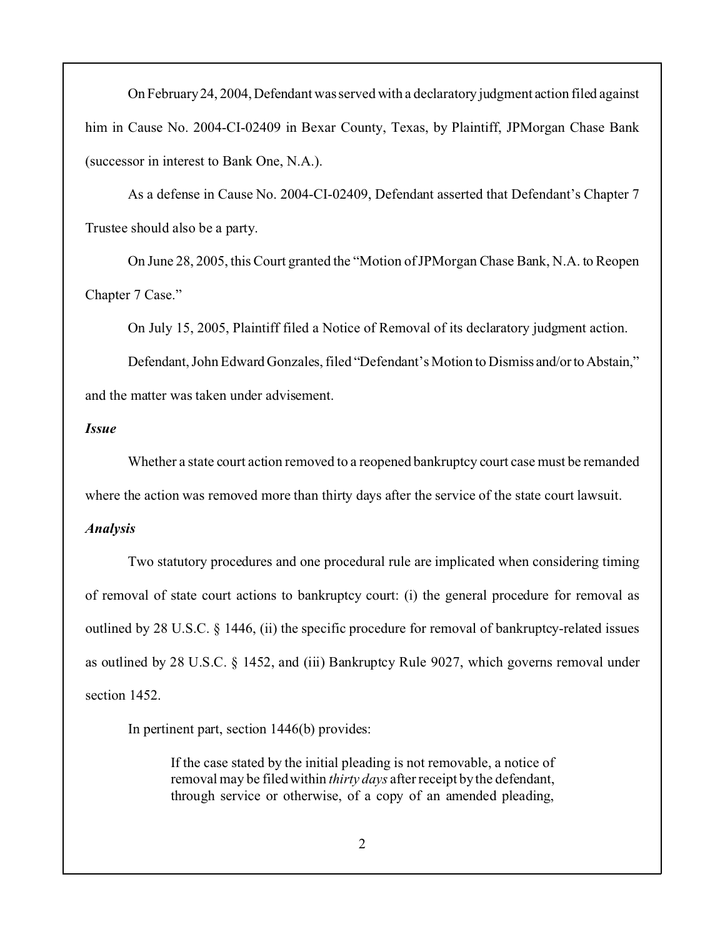On February 24, 2004, Defendant was served with a declaratory judgment action filed against him in Cause No. 2004-CI-02409 in Bexar County, Texas, by Plaintiff, JPMorgan Chase Bank (successor in interest to Bank One, N.A.).

As a defense in Cause No. 2004-CI-02409, Defendant asserted that Defendant's Chapter 7 Trustee should also be a party.

On June 28, 2005, this Court granted the "Motion of JPMorgan Chase Bank, N.A. to Reopen Chapter 7 Case."

On July 15, 2005, Plaintiff filed a Notice of Removal of its declaratory judgment action.

Defendant, John Edward Gonzales, filed "Defendant's Motion to Dismiss and/or to Abstain," and the matter was taken under advisement.

### *Issue*

Whether a state court action removed to a reopened bankruptcy court case must be remanded where the action was removed more than thirty days after the service of the state court lawsuit.

#### *Analysis*

Two statutory procedures and one procedural rule are implicated when considering timing of removal of state court actions to bankruptcy court: (i) the general procedure for removal as outlined by 28 U.S.C. § 1446, (ii) the specific procedure for removal of bankruptcy-related issues as outlined by 28 U.S.C. § 1452, and (iii) Bankruptcy Rule 9027, which governs removal under section 1452.

In pertinent part, section 1446(b) provides:

If the case stated by the initial pleading is not removable, a notice of removal may be filed within *thirty days* after receipt by the defendant, through service or otherwise, of a copy of an amended pleading,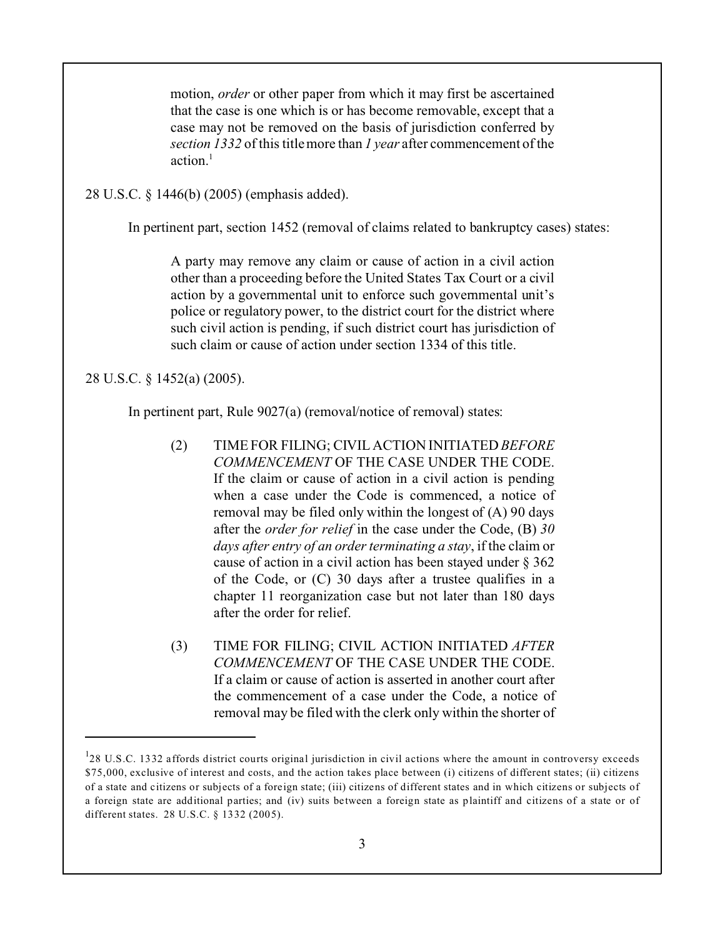motion, *order* or other paper from which it may first be ascertained that the case is one which is or has become removable, except that a case may not be removed on the basis of jurisdiction conferred by *section 1332* of this title more than *1 year* after commencement of the action $1$ 

28 U.S.C. § 1446(b) (2005) (emphasis added).

In pertinent part, section 1452 (removal of claims related to bankruptcy cases) states:

A party may remove any claim or cause of action in a civil action other than a proceeding before the United States Tax Court or a civil action by a governmental unit to enforce such governmental unit's police or regulatory power, to the district court for the district where such civil action is pending, if such district court has jurisdiction of such claim or cause of action under section 1334 of this title.

28 U.S.C. § 1452(a) (2005).

In pertinent part, Rule 9027(a) (removal/notice of removal) states:

- (2) TIME FOR FILING; CIVIL ACTION INITIATED *BEFORE COMMENCEMENT* OF THE CASE UNDER THE CODE. If the claim or cause of action in a civil action is pending when a case under the Code is commenced, a notice of removal may be filed only within the longest of (A) 90 days after the *order for relief* in the case under the Code, (B) *30 days after entry of an order terminating a stay*, if the claim or cause of action in a civil action has been stayed under § 362 of the Code, or (C) 30 days after a trustee qualifies in a chapter 11 reorganization case but not later than 180 days after the order for relief.
- (3) TIME FOR FILING; CIVIL ACTION INITIATED *AFTER COMMENCEMENT* OF THE CASE UNDER THE CODE. If a claim or cause of action is asserted in another court after the commencement of a case under the Code, a notice of removal may be filed with the clerk only within the shorter of

 $128$  U.S.C. 1332 affords district courts original jurisdiction in civil actions where the amount in controversy exceeds \$75,000, exclusive of interest and costs, and the action takes place between (i) citizens of different states; (ii) citizens of a state and citizens or subjects of a foreign state; (iii) citizens of different states and in which citizens or subjects of a foreign state are additional parties; and (iv) suits between a foreign state as plaintiff and citizens of a state or of different states. 28 U.S.C. § 1332 (2005).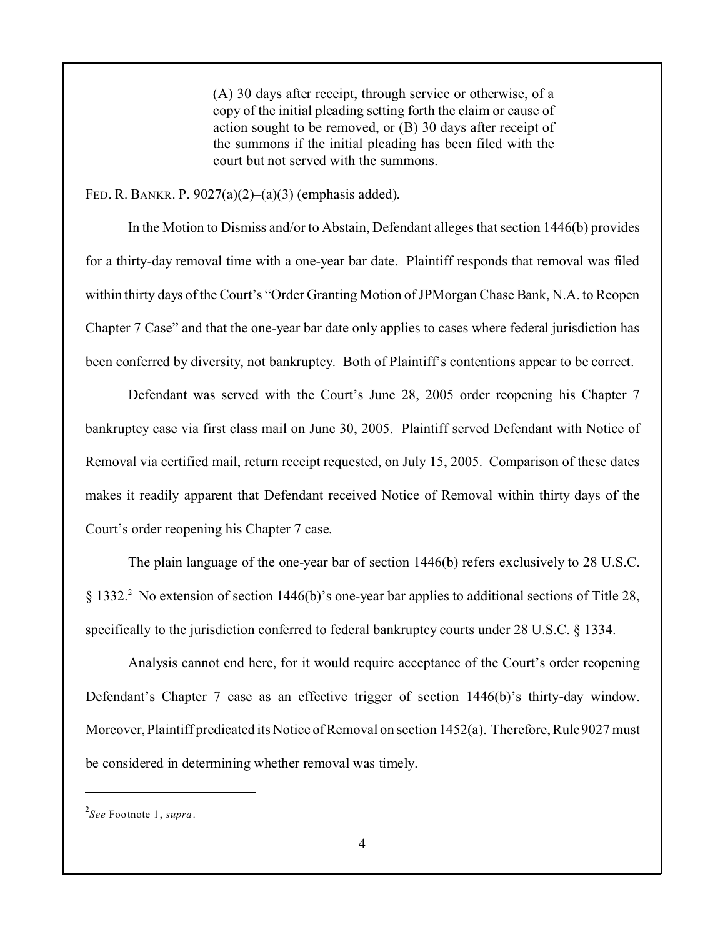(A) 30 days after receipt, through service or otherwise, of a copy of the initial pleading setting forth the claim or cause of action sought to be removed, or (B) 30 days after receipt of the summons if the initial pleading has been filed with the court but not served with the summons.

#### FED. R. BANKR. P. 9027(a)(2)–(a)(3) (emphasis added).

In the Motion to Dismiss and/or to Abstain, Defendant alleges that section 1446(b) provides for a thirty-day removal time with a one-year bar date. Plaintiff responds that removal was filed within thirty days of the Court's "Order Granting Motion of JPMorgan Chase Bank, N.A. to Reopen Chapter 7 Case" and that the one-year bar date only applies to cases where federal jurisdiction has been conferred by diversity, not bankruptcy. Both of Plaintiff's contentions appear to be correct.

Defendant was served with the Court's June 28, 2005 order reopening his Chapter 7 bankruptcy case via first class mail on June 30, 2005. Plaintiff served Defendant with Notice of Removal via certified mail, return receipt requested, on July 15, 2005. Comparison of these dates makes it readily apparent that Defendant received Notice of Removal within thirty days of the Court's order reopening his Chapter 7 case.

The plain language of the one-year bar of section 1446(b) refers exclusively to 28 U.S.C. § 1332.<sup>2</sup> No extension of section 1446(b)'s one-year bar applies to additional sections of Title 28, specifically to the jurisdiction conferred to federal bankruptcy courts under 28 U.S.C. § 1334.

Analysis cannot end here, for it would require acceptance of the Court's order reopening Defendant's Chapter 7 case as an effective trigger of section 1446(b)'s thirty-day window. Moreover, Plaintiff predicated its Notice of Removal on section 1452(a). Therefore, Rule 9027 must be considered in determining whether removal was timely.

<sup>2</sup> *See* Footnote 1, *supra*.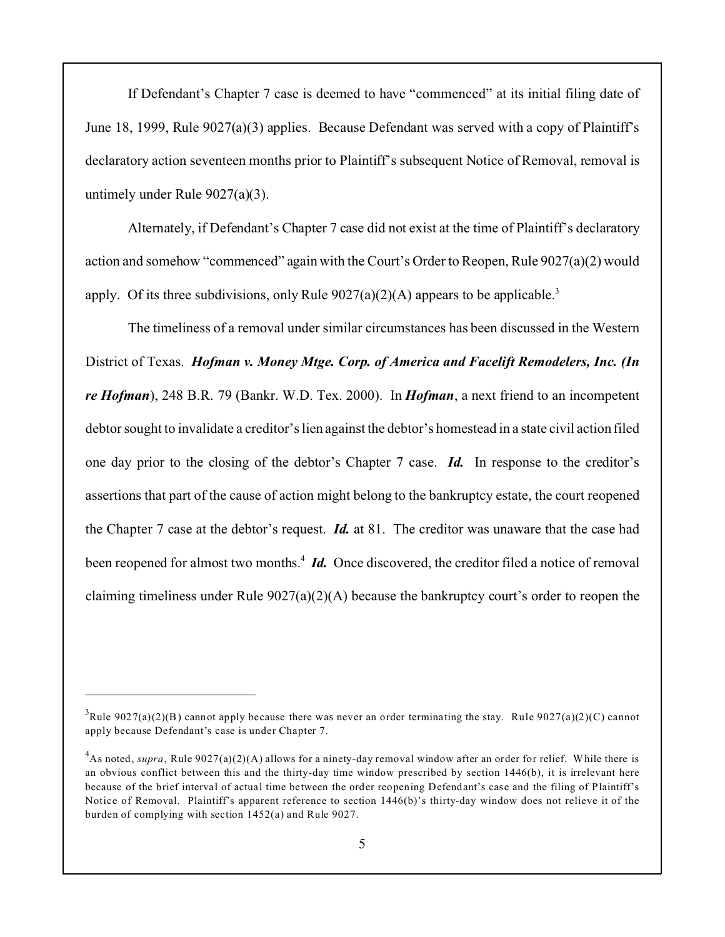If Defendant's Chapter 7 case is deemed to have "commenced" at its initial filing date of June 18, 1999, Rule 9027(a)(3) applies. Because Defendant was served with a copy of Plaintiff's declaratory action seventeen months prior to Plaintiff's subsequent Notice of Removal, removal is untimely under Rule 9027(a)(3).

Alternately, if Defendant's Chapter 7 case did not exist at the time of Plaintiff's declaratory action and somehow "commenced" again with the Court's Order to Reopen, Rule 9027(a)(2) would apply. Of its three subdivisions, only Rule  $9027(a)(2)(A)$  appears to be applicable.<sup>3</sup>

The timeliness of a removal under similar circumstances has been discussed in the Western District of Texas. *Hofman v. Money Mtge. Corp. of America and Facelift Remodelers, Inc. (In re Hofman*), 248 B.R. 79 (Bankr. W.D. Tex. 2000). In *Hofman*, a next friend to an incompetent debtor sought to invalidate a creditor's lien against the debtor's homestead in a state civil action filed one day prior to the closing of the debtor's Chapter 7 case. *Id.* In response to the creditor's assertions that part of the cause of action might belong to the bankruptcy estate, the court reopened the Chapter 7 case at the debtor's request. *Id.* at 81. The creditor was unaware that the case had been reopened for almost two months.<sup>4</sup> *Id.* Once discovered, the creditor filed a notice of removal claiming timeliness under Rule 9027(a)(2)(A) because the bankruptcy court's order to reopen the

<sup>&</sup>lt;sup>3</sup>Rule 9027(a)(2)(B) cannot apply because there was never an order terminating the stay. Rule 9027(a)(2)(C) cannot apply because Defendant's case is under Chapter 7.

<sup>&</sup>lt;sup>4</sup>As noted, *supra*, Rule 9027(a)(2)(A) allows for a ninety-day removal window after an order for relief. While there is an obvious conflict between this and the thirty-day time window prescribed by section 1446(b), it is irrelevant here because of the brief interval of actual time between the order reopening Defendant's case and the filing of Plaintiff's Notice of Removal. Plaintiff's apparent reference to section 1446(b)'s thirty-day window does not relieve it of the burden of complying with section 1452(a) and Rule 9027.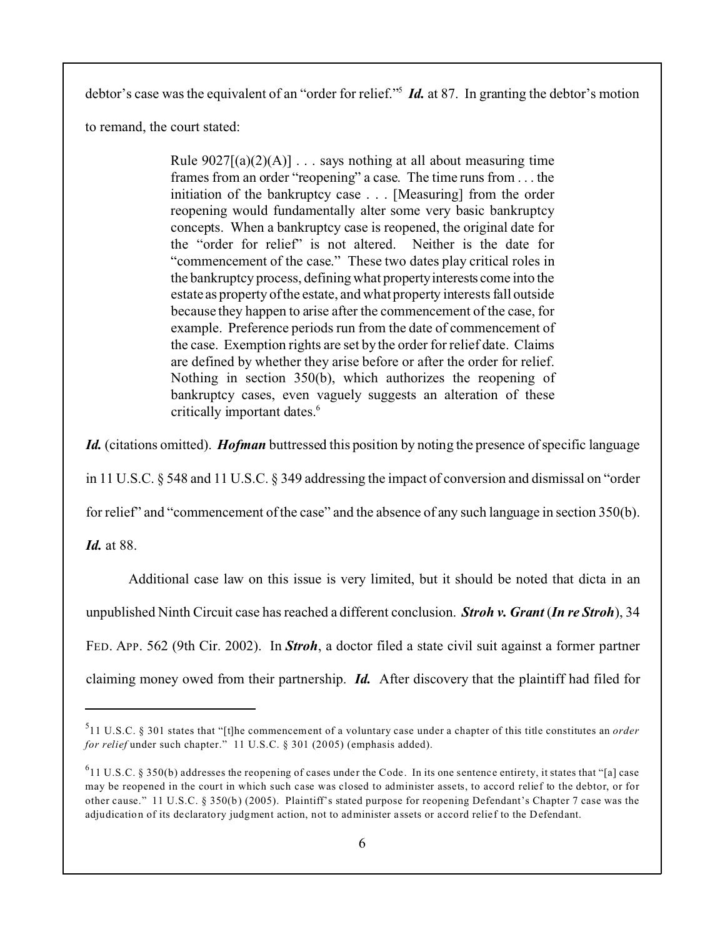debtor's case was the equivalent of an "order for relief."<sup>5</sup> *Id.* at 87. In granting the debtor's motion

to remand, the court stated:

Rule  $9027[(a)(2)(A)] \ldots$  says nothing at all about measuring time frames from an order "reopening" a case. The time runs from . . . the initiation of the bankruptcy case . . . [Measuring] from the order reopening would fundamentally alter some very basic bankruptcy concepts. When a bankruptcy case is reopened, the original date for the "order for relief" is not altered. Neither is the date for "commencement of the case." These two dates play critical roles in the bankruptcy process, defining what propertyinterests come into the estate as property of the estate, and what property interests fall outside because they happen to arise after the commencement of the case, for example. Preference periods run from the date of commencement of the case. Exemption rights are set by the order for relief date. Claims are defined by whether they arise before or after the order for relief. Nothing in section 350(b), which authorizes the reopening of bankruptcy cases, even vaguely suggests an alteration of these critically important dates.<sup>6</sup>

*Id.* (citations omitted). *Hofman* buttressed this position by noting the presence of specific language

in 11 U.S.C. § 548 and 11 U.S.C. § 349 addressing the impact of conversion and dismissal on "order

for relief" and "commencement of the case" and the absence of any such language in section 350(b).

*Id.* at 88.

Additional case law on this issue is very limited, but it should be noted that dicta in an

unpublished Ninth Circuit case has reached a different conclusion. *Stroh v. Grant* (*In re Stroh*), 34

FED. APP. 562 (9th Cir. 2002). In *Stroh*, a doctor filed a state civil suit against a former partner

claiming money owed from their partnership. *Id.* After discovery that the plaintiff had filed for

<sup>5</sup> 11 U.S.C. § 301 states that "[t]he commencement of a voluntary case under a chapter of this title constitutes an *order for relief* under such chapter." 11 U.S.C. § 301 (2005) (emphasis added).

 $611$  U.S.C. § 350(b) addresses the reopening of cases under the Code. In its one sentence entirety, it states that "[a] case may be reopened in the court in which such case was closed to administer assets, to accord relief to the debtor, or for other cause." 11 U.S.C. § 350(b) (2005). Plaintiff's stated purpose for reopening Defendant's Chapter 7 case was the adjudication of its declaratory judgment action, not to administer assets or accord relief to the Defendant.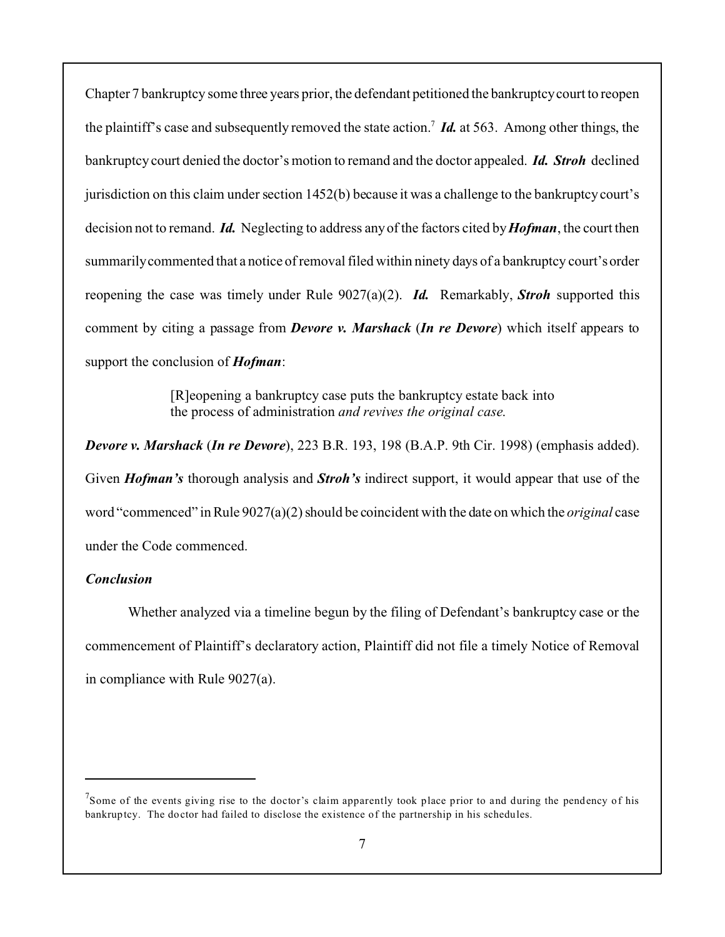Chapter 7 bankruptcy some three years prior, the defendant petitioned the bankruptcy court to reopen the plaintiff's case and subsequently removed the state action.<sup>7</sup> *Id.* at 563. Among other things, the bankruptcy court denied the doctor's motion to remand and the doctor appealed. *Id. Stroh* declined jurisdiction on this claim under section 1452(b) because it was a challenge to the bankruptcy court's decision not to remand. *Id.* Neglecting to address any of the factors cited by*Hofman*, the court then summarily commented that a notice of removal filed within ninety days of a bankruptcy court's order reopening the case was timely under Rule 9027(a)(2). *Id.* Remarkably, *Stroh* supported this comment by citing a passage from *Devore v. Marshack* (*In re Devore*) which itself appears to support the conclusion of *Hofman*:

> [R]eopening a bankruptcy case puts the bankruptcy estate back into the process of administration *and revives the original case*.

*Devore v. Marshack* (*In re Devore*), 223 B.R. 193, 198 (B.A.P. 9th Cir. 1998) (emphasis added). Given *Hofman's* thorough analysis and *Stroh's* indirect support, it would appear that use of the word "commenced" in Rule 9027(a)(2) should be coincident with the date on which the *original* case under the Code commenced.

### *Conclusion*

Whether analyzed via a timeline begun by the filing of Defendant's bankruptcy case or the commencement of Plaintiff's declaratory action, Plaintiff did not file a timely Notice of Removal in compliance with Rule 9027(a).

 $7$ Some of the events giving rise to the doctor's claim apparently took place prior to and during the pendency of his bankruptcy. The doctor had failed to disclose the existence of the partnership in his schedules.